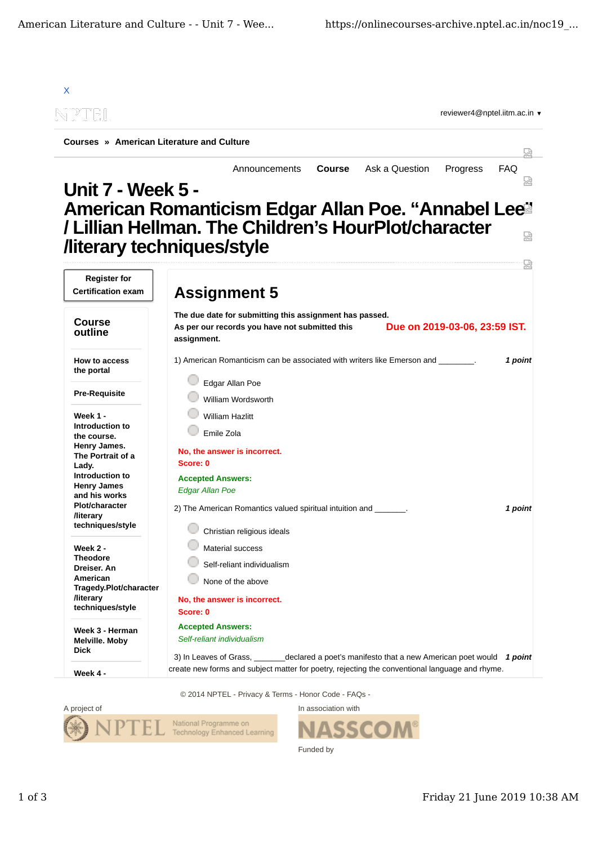

© 2014 NPTEL - Privacy & Terms - Honor Code - FAQs -



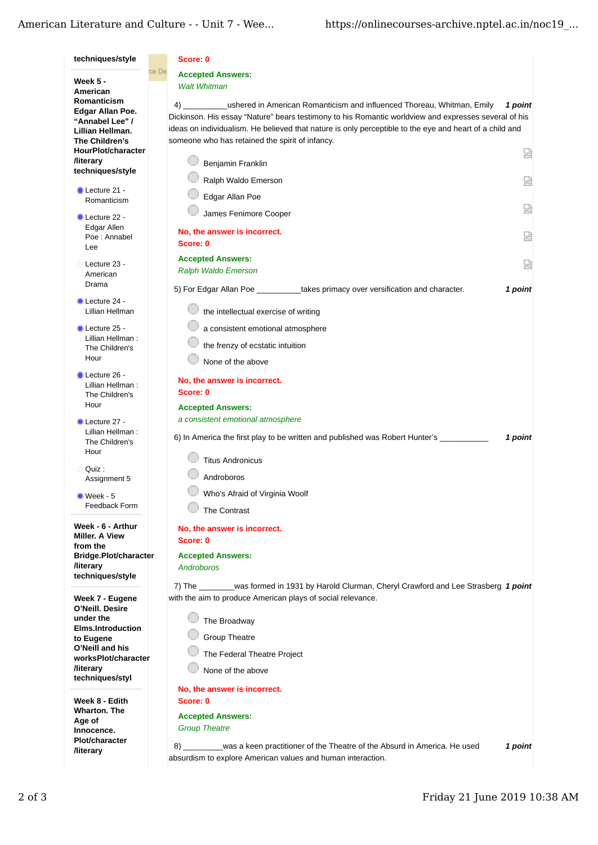| techniques/style                                                                                                                                                                                                                 | Score: 0                                                                                                                                                                                                                                                                                                                                                                                                                                                                 |  |
|----------------------------------------------------------------------------------------------------------------------------------------------------------------------------------------------------------------------------------|--------------------------------------------------------------------------------------------------------------------------------------------------------------------------------------------------------------------------------------------------------------------------------------------------------------------------------------------------------------------------------------------------------------------------------------------------------------------------|--|
| <b>Week 5 -</b><br>American<br>Romanticism<br>Edgar Allan Poe.<br>"Annabel Lee" /<br>Lillian Hellman.<br>The Children's                                                                                                          | ce De<br><b>Accepted Answers:</b><br><b>Walt Whitman</b>                                                                                                                                                                                                                                                                                                                                                                                                                 |  |
|                                                                                                                                                                                                                                  | ushered in American Romanticism and influenced Thoreau, Whitman, Emily<br>1 point<br>4) и последни село на село на село на село на село на село на село на село на село на село на село на село на<br>Dickinson. His essay "Nature" bears testimony to his Romantic worldview and expresses several of his<br>ideas on individualism. He believed that nature is only perceptible to the eye and heart of a child and<br>someone who has retained the spirit of infancy. |  |
| HourPlot/character<br><b><i><u>Iliterary</u></i></b><br>techniques/style                                                                                                                                                         | 덣<br>Benjamin Franklin                                                                                                                                                                                                                                                                                                                                                                                                                                                   |  |
| $\blacksquare$ Lecture 21 -                                                                                                                                                                                                      | Ralph Waldo Emerson<br>덣<br>Edgar Allan Poe                                                                                                                                                                                                                                                                                                                                                                                                                              |  |
| Romanticism<br>Lecture 22 -                                                                                                                                                                                                      | 덣<br>James Fenimore Cooper                                                                                                                                                                                                                                                                                                                                                                                                                                               |  |
| Edgar Allen<br>Poe: Annabel<br>Lee                                                                                                                                                                                               | No, the answer is incorrect.<br>덣<br>Score: 0                                                                                                                                                                                                                                                                                                                                                                                                                            |  |
| Lecture 23 -<br>American                                                                                                                                                                                                         | <b>Accepted Answers:</b><br>덣<br>Ralph Waldo Emerson                                                                                                                                                                                                                                                                                                                                                                                                                     |  |
| Drama                                                                                                                                                                                                                            | 5) For Edgar Allan Poe by takes primacy over versification and character.<br>1 point                                                                                                                                                                                                                                                                                                                                                                                     |  |
| Lecture 24 -<br>Lillian Hellman                                                                                                                                                                                                  | the intellectual exercise of writing                                                                                                                                                                                                                                                                                                                                                                                                                                     |  |
| Lecture 25 -<br>Lillian Hellman:<br>The Children's<br>Hour                                                                                                                                                                       | a consistent emotional atmosphere<br>the frenzy of ecstatic intuition<br>None of the above                                                                                                                                                                                                                                                                                                                                                                               |  |
| Lecture 26 -<br>Lillian Hellman:<br>The Children's<br>Hour                                                                                                                                                                       | No, the answer is incorrect.<br>Score: 0<br><b>Accepted Answers:</b>                                                                                                                                                                                                                                                                                                                                                                                                     |  |
| Lecture 27 -<br>Lillian Hellman:<br>The Children's<br>Hour                                                                                                                                                                       | a consistent emotional atmosphere<br>6) In America the first play to be written and published was Robert Hunter's<br>1 point                                                                                                                                                                                                                                                                                                                                             |  |
| Quiz :<br>Assignment 5                                                                                                                                                                                                           | <b>Titus Andronicus</b><br>Androboros                                                                                                                                                                                                                                                                                                                                                                                                                                    |  |
| $\bullet$ Week - 5<br>Feedback Form                                                                                                                                                                                              | Who's Afraid of Virginia Woolf<br>The Contrast                                                                                                                                                                                                                                                                                                                                                                                                                           |  |
| Week - 6 - Arthur<br>Miller. A View<br>from the<br>Bridge.Plot/character<br><b>/literary</b><br>techniques/style                                                                                                                 | No, the answer is incorrect.<br>Score: 0<br><b>Accepted Answers:</b><br><b>Androboros</b>                                                                                                                                                                                                                                                                                                                                                                                |  |
| Week 7 - Eugene<br>O'Neill. Desire<br>under the<br><b>Elms.Introduction</b><br>to Eugene<br>O'Neill and his<br>worksPlot/character<br><b><i><u>Iliterary</u></i></b><br>techniques/styl<br>Week 8 - Edith<br><b>Wharton. The</b> | was formed in 1931 by Harold Clurman, Cheryl Crawford and Lee Strasberg 1 point<br>7) The<br>with the aim to produce American plays of social relevance.<br>The Broadway<br><b>Group Theatre</b><br>The Federal Theatre Project<br>None of the above<br>No, the answer is incorrect.<br>Score: 0<br><b>Accepted Answers:</b>                                                                                                                                             |  |
| Age of<br>Innocence.<br><b>Plot/character</b><br><b>/literary</b>                                                                                                                                                                | <b>Group Theatre</b><br>8) was a keen practitioner of the Theatre of the Absurd in America. He used<br>1 point<br>absurdism to explore American values and human interaction.                                                                                                                                                                                                                                                                                            |  |